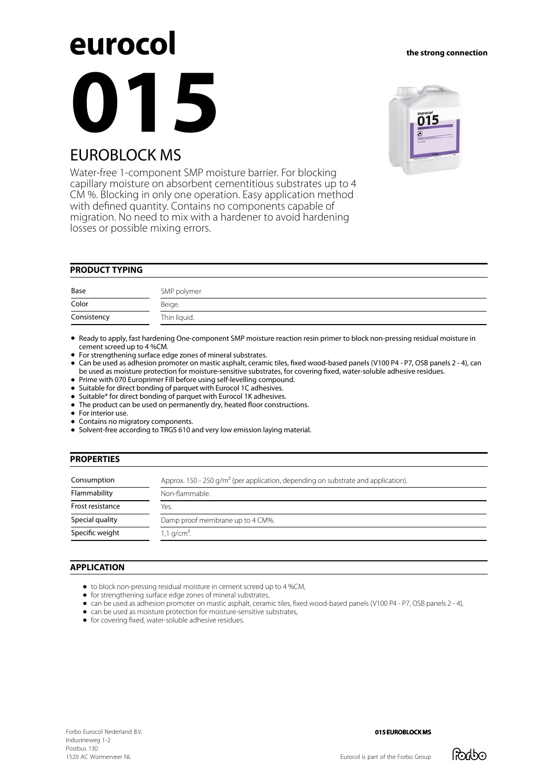# eurocol **015** EUROBLOCK MS

Water-free 1-component SMP moisture barrier. For blocking capillary moisture on absorbent cementitious substrates up to 4 CM %. Blocking in only one operation. Easy application method with defined quantity. Contains no components capable of migration. No need to mix with a hardener to avoid hardening losses or possible mixing errors.

# **PRODUCT TYPING**

| Base        | SMP polymer  |
|-------------|--------------|
| Color       | Beige.       |
| Consistency | Thin liquid. |

Ready to apply, fast hardening One-component SMP moisture reaction resin primer to block non-pressing residual moisture in cement screed up to 4 %CM.

For strengthening surface edge zones of mineral substrates.

• Can be used as adhesion promoter on mastic asphalt, ceramic tiles, fixed wood-based panels (V100 P4 - P7, OSB panels 2 - 4), can be used as moisture protection for moisture-sensitive substrates, for covering öxed, water-soluble adhesive residues.

• Prime with 070 Europrimer Fill before using self-levelling compound.

- Suitable for direct bonding of parquet with Eurocol 1C adhesives.
- **•** Suitable\* for direct bonding of parquet with Eurocol 1K adhesives.
- The product can be used on permanently dry, heated floor constructions.
- $\bullet$ For interior use.
- Contains no migratory components.
- Solvent-free according to TRGS 610 and very low emission laying material.

# **PROPERTIES**

| Consumption      | Approx. 150 - 250 $q/m^2$ (per application, depending on substrate and application). |  |  |
|------------------|--------------------------------------------------------------------------------------|--|--|
| Flammability     | Non-flammable.                                                                       |  |  |
| Frost resistance | Yes.                                                                                 |  |  |
| Special quality  | Damp proof membrane up to 4 CM%.                                                     |  |  |
| Specific weight  | $1,1$ g/cm <sup>3</sup> .                                                            |  |  |

# **APPLICATION**

- to block non-pressing residual moisture in cement screed up to 4 %CM,
- for strengthening surface edge zones of mineral substrates,
- can be used as adhesion promoter on mastic asphalt, ceramic tiles, fixed wood-based panels (V100 P4 P7, OSB panels 2 4),
- can be used as moisture protection for moisture-sensitive substrates,
- for covering fixed, water-soluble adhesive residues.



## **the strong connection**

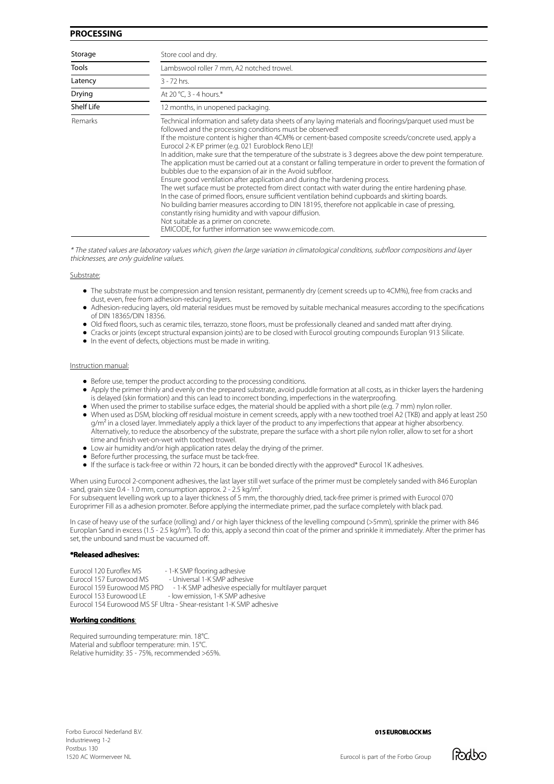# **PROCESSING**

| Storage      | Store cool and dry.                                                                                                                                                                                                                                                                                                                                                                                                                                                                                                                                                                                                                                                                                                                                                                                                                                                                                                                                                                                                                                                                                                                                                                         |  |  |
|--------------|---------------------------------------------------------------------------------------------------------------------------------------------------------------------------------------------------------------------------------------------------------------------------------------------------------------------------------------------------------------------------------------------------------------------------------------------------------------------------------------------------------------------------------------------------------------------------------------------------------------------------------------------------------------------------------------------------------------------------------------------------------------------------------------------------------------------------------------------------------------------------------------------------------------------------------------------------------------------------------------------------------------------------------------------------------------------------------------------------------------------------------------------------------------------------------------------|--|--|
| <b>Tools</b> | Lambswool roller 7 mm, A2 notched trowel.                                                                                                                                                                                                                                                                                                                                                                                                                                                                                                                                                                                                                                                                                                                                                                                                                                                                                                                                                                                                                                                                                                                                                   |  |  |
| Latency      | $3 - 72$ hrs.                                                                                                                                                                                                                                                                                                                                                                                                                                                                                                                                                                                                                                                                                                                                                                                                                                                                                                                                                                                                                                                                                                                                                                               |  |  |
| Drying       | At 20 °C, 3 - 4 hours.*                                                                                                                                                                                                                                                                                                                                                                                                                                                                                                                                                                                                                                                                                                                                                                                                                                                                                                                                                                                                                                                                                                                                                                     |  |  |
| Shelf Life   | 12 months, in unopened packaging.                                                                                                                                                                                                                                                                                                                                                                                                                                                                                                                                                                                                                                                                                                                                                                                                                                                                                                                                                                                                                                                                                                                                                           |  |  |
| Remarks      | Technical information and safety data sheets of any laying materials and floorings/parguet used must be<br>followed and the processing conditions must be observed!<br>If the moisture content is higher than 4CM% or cement-based composite screeds/concrete used, apply a<br>Eurocol 2-K EP primer (e.g. 021 Euroblock Reno LE)!<br>In addition, make sure that the temperature of the substrate is 3 degrees above the dew point temperature.<br>The application must be carried out at a constant or falling temperature in order to prevent the formation of<br>bubbles due to the expansion of air in the Avoid subfloor.<br>Ensure good ventilation after application and during the hardening process.<br>The wet surface must be protected from direct contact with water during the entire hardening phase.<br>In the case of primed floors, ensure sufficient ventilation behind cupboards and skirting boards.<br>No building barrier measures according to DIN 18195, therefore not applicable in case of pressing,<br>constantly rising humidity and with vapour diffusion.<br>Not suitable as a primer on concrete.<br>EMICODE, for further information see www.emicode.com. |  |  |

\* The stated values are laboratory values which, given the large variation in climatological conditions, subfloor compositions and layer thicknesses, are only guideline values.

#### Substrate:

- The substrate must be compression and tension resistant, permanently dry (cement screeds up to 4CM%), free from cracks and dust, even, free from adhesion-reducing layers.
- Adhesion-reducing layers, old material residues must be removed by suitable mechanical measures according to the speciöcations of DIN 18365/DIN 18356.
- Old fixed floors, such as ceramic tiles, terrazzo, stone floors, must be professionally cleaned and sanded matt after drying.
- Cracks or joints (except structural expansion joints) are to be closed with Eurocol grouting compounds Europlan 913 Silicate.
- $\bullet$  In the event of defects, objections must be made in writing.

#### Instruction manual:

- Before use, temper the product according to the processing conditions.
- Apply the primer thinly and evenly on the prepared substrate, avoid puddle formation at all costs, as in thicker layers the hardening is delayed (skin formation) and this can lead to incorrect bonding, imperfections in the waterproofing.
- When used the primer to stabilise surface edges, the material should be applied with a short pile (e.g. 7 mm) nylon roller.
- When used as DSM, blocking off residual moisture in cement screeds, apply with a new toothed troel A2 (TKB) and apply at least 250  $q/m<sup>2</sup>$  in a closed layer. Immediately apply a thick layer of the product to any imperfections that appear at higher absorbency. Alternatively, to reduce the absorbency of the substrate, prepare the surface with a short pile nylon roller, allow to set for a short time and finish wet-on-wet with toothed trowel.
- Low air humidity and/or high application rates delay the drying of the primer.
- Before further processing, the surface must be tack-free.
- If the surface is tack-free or within 72 hours, it can be bonded directly with the approved\* Eurocol 1K adhesives.

When using Eurocol 2-component adhesives, the last layer still wet surface of the primer must be completely sanded with 846 Europlan sand, grain size 0.4 - 1.0 mm, consumption approx. 2 - 2.5 kg/m².

For subsequent levelling work up to a layer thickness of 5 mm, the thoroughly dried, tack-free primer is primed with Eurocol 070 Europrimer Fill as a adhesion promoter. Before applying the intermediate primer, pad the surface completely with black pad.

In case of heavy use of the surface (rolling) and / or high layer thickness of the levelling compound (>5mm), sprinkle the primer with 846 Europlan Sand in excess (1.5 - 2.5 kg/m<sup>2</sup>). To do this, apply a second thin coat of the primer and sprinkle it immediately. After the primer has set, the unbound sand must be vacuumed off.

### **\*Released adhesives:**

Eurocol 120 Euroøex MS - 1-K SMP øooring adhesive - Universal 1-K SMP adhesive Eurocol 159 Eurowood MS PRO - 1-K SMP adhesive especially for multilayer parquet<br>Eurocol 153 Eurowood LE - low emission. 1-K SMP adhesive - low emission, 1-K SMP adhesive Eurocol 154 Eurowood MS SF Ultra - Shear-resistant 1-K SMP adhesive

# **Working conditions**:

Required surrounding temperature: min. 18°C. Material and subfloor temperature: min. 15°C. Relative humidity: 35 - 75%, recommended >65%.